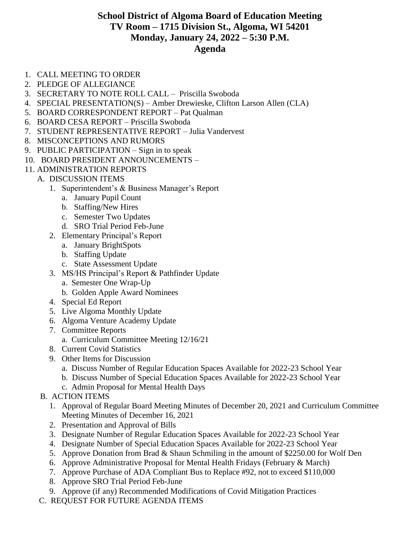## **School District of Algoma Board of Education Meeting TV Room – 1715 Division St., Algoma, WI 54201 Monday, January 24, 2022 – 5:30 P.M. Agenda**

- 1. CALL MEETING TO ORDER
- 2. PLEDGE OF ALLEGIANCE
- 3. SECRETARY TO NOTE ROLL CALL Priscilla Swoboda
- 4. SPECIAL PRESENTATION(S) Amber Drewieske, Clifton Larson Allen (CLA)
- 5. BOARD CORRESPONDENT REPORT Pat Qualman
- 6. BOARD CESA REPORT Priscilla Swoboda
- 7. STUDENT REPRESENTATIVE REPORT Julia Vandervest
- 8. MISCONCEPTIONS AND RUMORS
- 9. PUBLIC PARTICIPATION Sign in to speak
- 10. BOARD PRESIDENT ANNOUNCEMENTS –
- 11. ADMINISTRATION REPORTS
	- A. DISCUSSION ITEMS
		- 1. Superintendent's & Business Manager's Report
			- a. January Pupil Count
			- b. Staffing/New Hires
			- c. Semester Two Updates
			- d. SRO Trial Period Feb-June
		- 2. Elementary Principal's Report
			- a. January BrightSpots
			- b. Staffing Update
			- c. State Assessment Update
		- 3. MS/HS Principal's Report & Pathfinder Update
			- a. Semester One Wrap-Up
			- b. Golden Apple Award Nominees
		- 4. Special Ed Report
		- 5. Live Algoma Monthly Update
		- 6. Algoma Venture Academy Update
		- 7. Committee Reports
			- a. Curriculum Committee Meeting 12/16/21
		- 8. Current Covid Statistics
		- 9. Other Items for Discussion
			- a. Discuss Number of Regular Education Spaces Available for 2022-23 School Year
			- b. Discuss Number of Special Education Spaces Available for 2022-23 School Year
			- c. Admin Proposal for Mental Health Days
		- B. ACTION ITEMS
			- 1. Approval of Regular Board Meeting Minutes of December 20, 2021 and Curriculum Committee Meeting Minutes of December 16, 2021
			- 2. Presentation and Approval of Bills
			- 3. Designate Number of Regular Education Spaces Available for 2022-23 School Year
			- 4. Designate Number of Special Education Spaces Available for 2022-23 School Year
			- 5. Approve Donation from Brad & Shaun Schmiling in the amount of \$2250.00 for Wolf Den
			- 6. Approve Administrative Proposal for Mental Health Fridays (February & March)
			- 7. Approve Purchase of ADA Compliant Bus to Replace #92, not to exceed \$110,000
			- 8. Approve SRO Trial Period Feb-June
			- 9. Approve (if any) Recommended Modifications of Covid Mitigation Practices
	- C. REQUEST FOR FUTURE AGENDA ITEMS